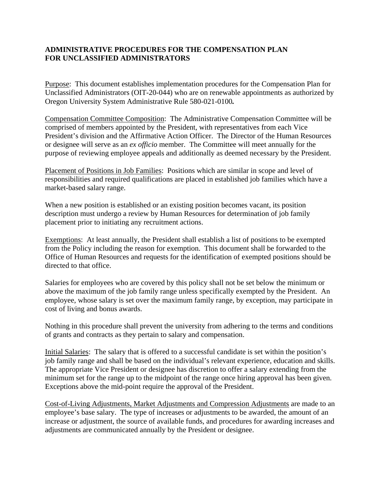## **ADMINISTRATIVE PROCEDURES FOR THE COMPENSATION PLAN FOR UNCLASSIFIED ADMINISTRATORS**

Purpose: This document establishes implementation procedures for the Compensation Plan for Unclassified Administrators (OIT-20-044) who are on renewable appointments as authorized by Oregon University System Administrative Rule 580-021-0100*.* 

Compensation Committee Composition: The Administrative Compensation Committee will be comprised of members appointed by the President, with representatives from each Vice President's division and the Affirmative Action Officer. The Director of the Human Resources or designee will serve as an *ex officio* member. The Committee will meet annually for the purpose of reviewing employee appeals and additionally as deemed necessary by the President.

Placement of Positions in Job Families: Positions which are similar in scope and level of responsibilities and required qualifications are placed in established job families which have a market-based salary range.

When a new position is established or an existing position becomes vacant, its position description must undergo a review by Human Resources for determination of job family placement prior to initiating any recruitment actions.

Exemptions: At least annually, the President shall establish a list of positions to be exempted from the Policy including the reason for exemption. This document shall be forwarded to the Office of Human Resources and requests for the identification of exempted positions should be directed to that office.

Salaries for employees who are covered by this policy shall not be set below the minimum or above the maximum of the job family range unless specifically exempted by the President. An employee, whose salary is set over the maximum family range, by exception, may participate in cost of living and bonus awards.

Nothing in this procedure shall prevent the university from adhering to the terms and conditions of grants and contracts as they pertain to salary and compensation.

Initial Salaries: The salary that is offered to a successful candidate is set within the position's job family range and shall be based on the individual's relevant experience, education and skills. The appropriate Vice President or designee has discretion to offer a salary extending from the minimum set for the range up to the midpoint of the range once hiring approval has been given. Exceptions above the mid-point require the approval of the President.

Cost-of-Living Adjustments, Market Adjustments and Compression Adjustments are made to an employee's base salary. The type of increases or adjustments to be awarded, the amount of an increase or adjustment, the source of available funds, and procedures for awarding increases and adjustments are communicated annually by the President or designee.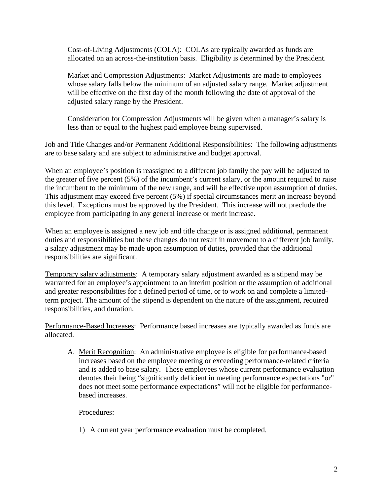Cost-of-Living Adjustments (COLA): COLAs are typically awarded as funds are allocated on an across-the-institution basis. Eligibility is determined by the President.

Market and Compression Adjustments: Market Adjustments are made to employees whose salary falls below the minimum of an adjusted salary range.Market adjustment will be effective on the first day of the month following the date of approval of the adjusted salary range by the President.

Consideration for Compression Adjustments will be given when a manager's salary is less than or equal to the highest paid employee being supervised.

Job and Title Changes and/or Permanent Additional Responsibilities: The following adjustments are to base salary and are subject to administrative and budget approval.

When an employee's position is reassigned to a different job family the pay will be adjusted to the greater of five percent (5%) of the incumbent's current salary, or the amount required to raise the incumbent to the minimum of the new range, and will be effective upon assumption of duties. This adjustment may exceed five percent (5%) if special circumstances merit an increase beyond this level. Exceptions must be approved by the President. This increase will not preclude the employee from participating in any general increase or merit increase.

When an employee is assigned a new job and title change or is assigned additional, permanent duties and responsibilities but these changes do not result in movement to a different job family, a salary adjustment may be made upon assumption of duties, provided that the additional responsibilities are significant.

Temporary salary adjustments: A temporary salary adjustment awarded as a stipend may be warranted for an employee's appointment to an interim position or the assumption of additional and greater responsibilities for a defined period of time, or to work on and complete a limitedterm project. The amount of the stipend is dependent on the nature of the assignment, required responsibilities, and duration.

Performance-Based Increases: Performance based increases are typically awarded as funds are allocated.

A. Merit Recognition: An administrative employee is eligible for performance-based increases based on the employee meeting or exceeding performance-related criteria and is added to base salary. Those employees whose current performance evaluation denotes their being "significantly deficient in meeting performance expectations "or" does not meet some performance expectations" will not be eligible for performancebased increases.

Procedures:

1) A current year performance evaluation must be completed.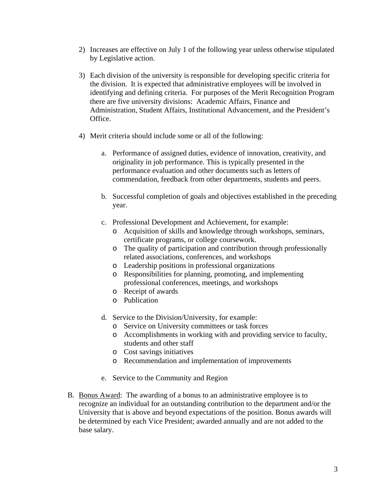- 2) Increases are effective on July 1 of the following year unless otherwise stipulated by Legislative action.
- 3) Each division of the university is responsible for developing specific criteria for the division. It is expected that administrative employees will be involved in identifying and defining criteria. For purposes of the Merit Recognition Program there are five university divisions: Academic Affairs, Finance and Administration, Student Affairs, Institutional Advancement, and the President's Office.
- 4) Merit criteria should include some or all of the following:
	- a. Performance of assigned duties, evidence of innovation, creativity, and originality in job performance. This is typically presented in the performance evaluation and other documents such as letters of commendation, feedback from other departments, students and peers.
	- b. Successful completion of goals and objectives established in the preceding year.
	- c. Professional Development and Achievement, for example:
		- o Acquisition of skills and knowledge through workshops, seminars, certificate programs, or college coursework.
		- o The quality of participation and contribution through professionally related associations, conferences, and workshops
		- o Leadership positions in professional organizations
		- o Responsibilities for planning, promoting, and implementing professional conferences, meetings, and workshops
		- o Receipt of awards
		- o Publication
	- d. Service to the Division/University, for example:
		- o Service on University committees or task forces
		- o Accomplishments in working with and providing service to faculty, students and other staff
		- o Cost savings initiatives
		- o Recommendation and implementation of improvements
	- e. Service to the Community and Region
- B. Bonus Award: The awarding of a bonus to an administrative employee is to recognize an individual for an outstanding contribution to the department and/or the University that is above and beyond expectations of the position. Bonus awards will be determined by each Vice President; awarded annually and are not added to the base salary.